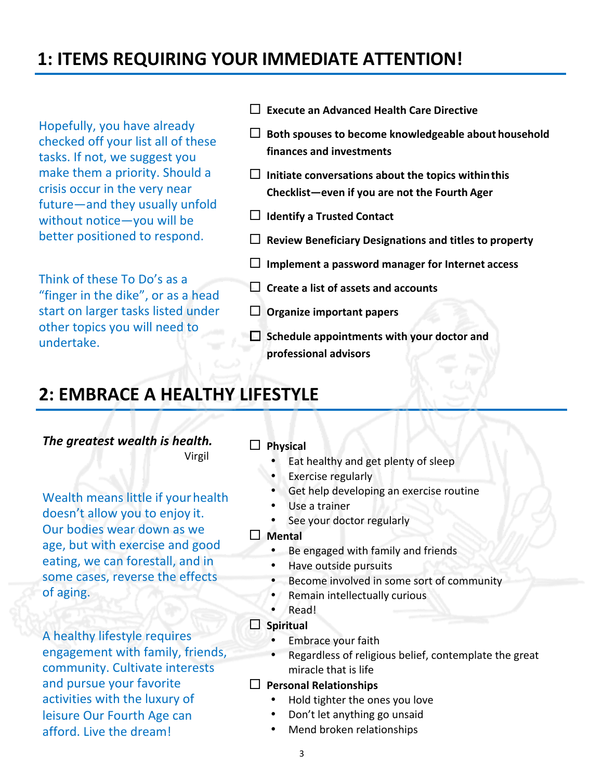# **1: ITEMS REQUIRING YOUR IMMEDIATE ATTENTION!**

Hopefully, you have already checked off your list all of these tasks. If not, we suggest you make them a priority. Should a crisis occur in the very near future—and they usually unfold without notice-you will be better positioned to respond.

Think of these To Do's as a "finger in the dike", or as a head start on larger tasks listed under other topics you will need to undertake.

- ¨ **Execute an Advanced Health Care Directive**
- $\Box$  Both spouses to become knowledgeable about household **finances and investments**
- $\Box$  Initiate conversations about the topics within this **Checklist—even if you are not the Fourth Ager**
- $\Box$  **Identify a Trusted Contact**
- □ Review Beneficiary Designations and titles to property
- $\Box$  Implement a password manager for Internet access
- **□** Create a list of assets and accounts
- $\Box$  Organize important papers
- $\Box$  Schedule appointments with your doctor and **professional advisors**

# **2: EMBRACE A HEALTHY LIFESTYLE**

**The greatest wealth is health.** Virgil

Wealth means little if your health doesn't allow you to enjoy it. Our bodies wear down as we age, but with exercise and good eating, we can forestall, and in some cases, reverse the effects of aging.

A healthy lifestyle requires engagement with family, friends, community. Cultivate interests and pursue your favorite activities with the luxury of leisure Our Fourth Age can afford. Live the dream!

### □ Physical

- Eat healthy and get plenty of sleep
- Exercise regularly
- Get help developing an exercise routine
- Use a trainer
- See your doctor regularly

#### □ Mental

- Be engaged with family and friends
- Have outside pursuits
- Become involved in some sort of community
- Remain intellectually curious
- Read!

#### $\square$  Spiritual

- Embrace your faith
- Regardless of religious belief, contemplate the great miracle that is life

#### □ Personal Relationships

- Hold tighter the ones you love
- Don't let anything go unsaid
- Mend broken relationships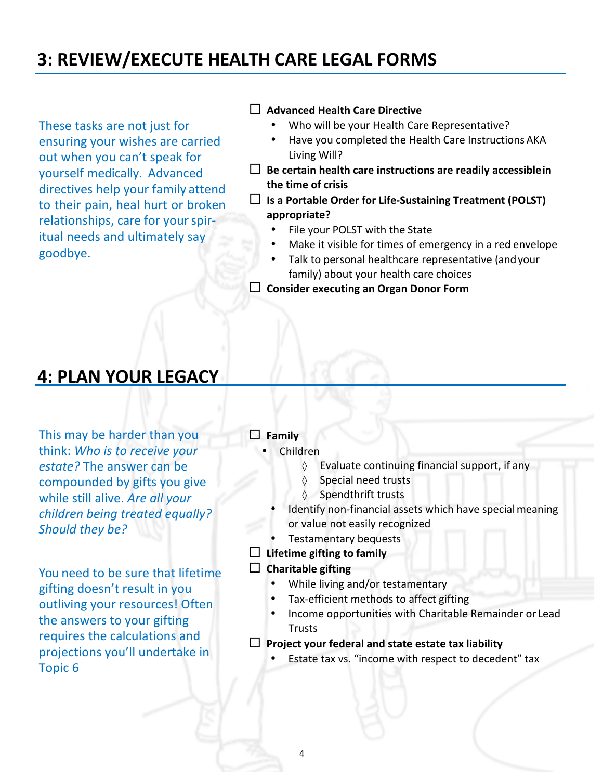# **3: REVIEW/EXECUTE HEALTH CARE LEGAL FORMS**

These tasks are not just for ensuring your wishes are carried out when you can't speak for yourself medically. Advanced directives help your family attend to their pain, heal hurt or broken relationships, care for your spiritual needs and ultimately say goodbye.

#### ¨ **Advanced Health Care Directive**

- Who will be your Health Care Representative?
- Have you completed the Health Care Instructions AKA Living Will?
- $\Box$  Be certain health care instructions are readily accessible in **the time of crisis**
- $\Box$  Is a Portable Order for Life-Sustaining Treatment (POLST) **appropriate?**
	- File your POLST with the State
	- Make it visible for times of emergency in a red envelope
	- Talk to personal healthcare representative (and your family) about your health care choices

□ Consider executing an Organ Donor Form

### **4: PLAN YOUR LEGACY**

This may be harder than you think: *Who is to receive your* **estate?** The answer can be compounded by gifts you give while still alive. Are all your children being treated equally? *Should they be?*

You need to be sure that lifetime gifting doesn't result in you outliving your resources! Often the answers to your gifting requires the calculations and projections you'll undertake in Topic<sub>6</sub>

### □ **Family**

- Children
	- $\Diamond$  Evaluate continuing financial support, if any
	- ◊ Special need trusts
	- ◊ Spendthrift trusts
	- Identify non-financial assets which have special meaning or value not easily recognized
- Testamentary bequests
- $\Box$  Lifetime gifting to family

#### $\Box$  **Charitable** gifting

- While living and/or testamentary
- Tax-efficient methods to affect gifting
- Income opportunities with Charitable Remainder or Lead Trusts
- $\Box$  Project your federal and state estate tax liability
	- Estate tax vs. "income with respect to decedent" tax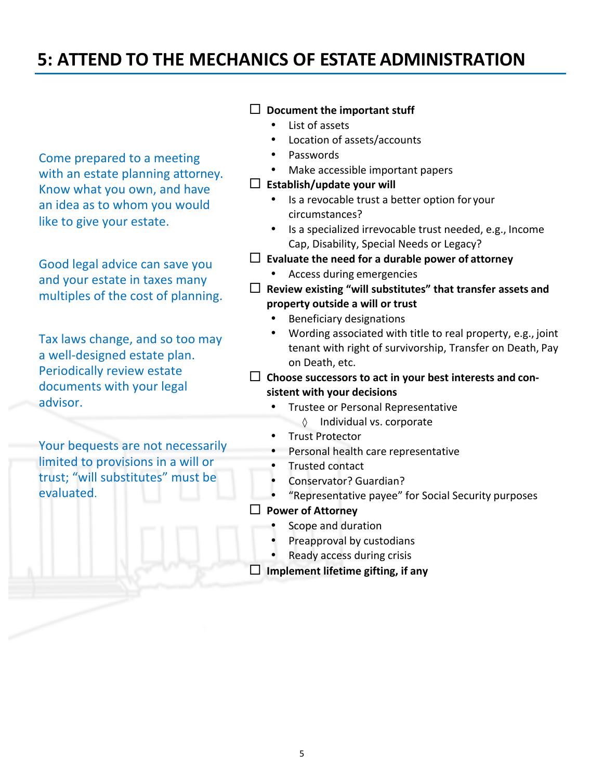### **5: ATTEND TO THE MECHANICS OF ESTATE ADMINISTRATION**

Come prepared to a meeting with an estate planning attorney. Know what you own, and have an idea as to whom you would like to give your estate.

Good legal advice can save you and your estate in taxes many multiples of the cost of planning.

Tax laws change, and so too may a well-designed estate plan. Periodically review estate documents with your legal advisor.

Your bequests are not necessarily limited to provisions in a will or trust; "will substitutes" must be evaluated.

### $\Box$  Document the important stuff

- List of assets
- Location of assets/accounts
- Passwords
- Make accessible important papers

#### $\Box$  Establish/update your will

- Is a revocable trust a better option for your circumstances?
- Is a specialized irrevocable trust needed, e.g., Income Cap, Disability, Special Needs or Legacy?
- $\Box$  **Evaluate the need for a durable power of attorney** 
	- Access during emergencies
- $\Box$  Review existing "will substitutes" that transfer assets and **property outside a will or trust**
	- Beneficiary designations
	- Wording associated with title to real property, e.g., joint tenant with right of survivorship, Transfer on Death, Pay on Death, etc.
- $\Box$  Choose successors to act in your best interests and con**sistent with your decisions**
	- Trustee or Personal Representative ◊ Individual vs. corporate
	- Trust Protector
	- Personal health care representative
	- Trusted contact
	- Conservator? Guardian?
	- "Representative payee" for Social Security purposes
- □ Power of Attorney
	- Scope and duration
	- Preapproval by custodians
	- Ready access during crisis
- $\Box$  Implement lifetime gifting, if any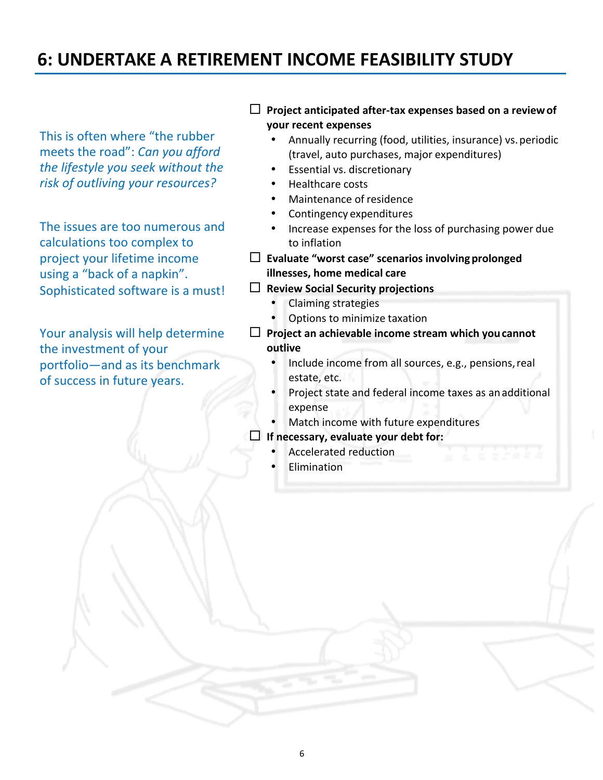# **6: UNDERTAKE A RETIREMENT INCOME FEASIBILITY STUDY**

This is often where "the rubber meets the road": *Can you afford* the lifestyle you seek without the *risk of outliving your resources?*

The issues are too numerous and calculations too complex to project your lifetime income using a "back of a napkin". Sophisticated software is a must!

Your analysis will help determine the investment of your portfolio—and as its benchmark of success in future years.

#### $\Box$  Project anticipated after-tax expenses based on a review of **your recent expenses**

- Annually recurring (food, utilities, insurance) vs. periodic (travel, auto purchases, major expenditures)
- Essential vs. discretionary
- Healthcare costs
- Maintenance of residence
- Contingency expenditures
- Increase expenses for the loss of purchasing power due to inflation
- $\Box$  Evaluate "worst case" scenarios involving prolonged **illnesses, home medical care**
- ¨ **Review Social Security projections**
	- Claiming strategies
	- Options to minimize taxation
- $\Box$  Project an achievable income stream which you cannot **outlive**
	- Include income from all sources, e.g., pensions, real estate, etc.
	- Project state and federal income taxes as an additional expense
	- Match income with future expenditures
- $\Box$  If necessary, evaluate your debt for:
	- Accelerated reduction
	- Elimination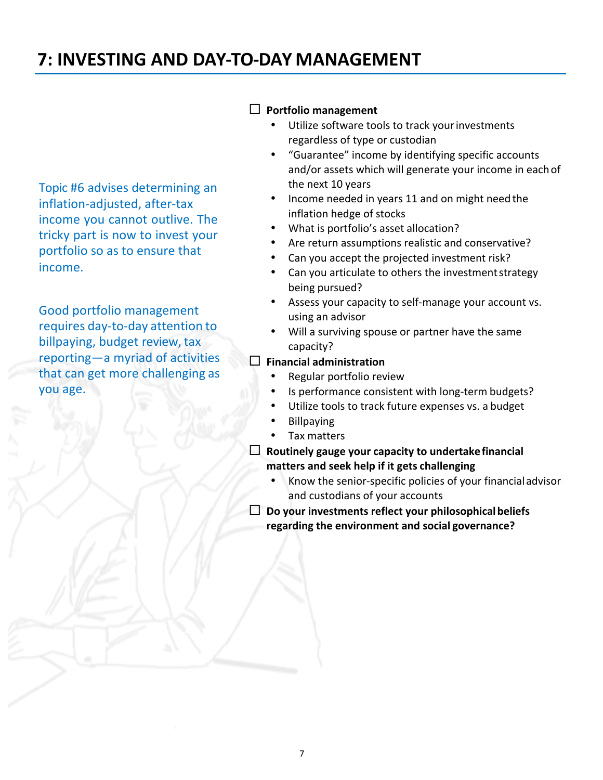# **7: INVESTING AND DAY-TO-DAY MANAGEMENT**

Topic #6 advises determining an inflation-adjusted, after-tax income you cannot outlive. The tricky part is now to invest your portfolio so as to ensure that income.

Good portfolio management requires day-to-day attention to billpaying, budget review, tax reporting—a myriad of activities that can get more challenging as you age.

### $\Box$  Portfolio management

- Utilize software tools to track your investments regardless of type or custodian
- "Guarantee" income by identifying specific accounts and/or assets which will generate your income in each of the next 10 years
- Income needed in years 11 and on might need the inflation hedge of stocks
- What is portfolio's asset allocation?
- Are return assumptions realistic and conservative?
- Can you accept the projected investment risk?
- Can you articulate to others the investment strategy being pursued?
- Assess your capacity to self-manage your account vs. using an advisor
- Will a surviving spouse or partner have the same capacity?

#### ¨ **Financial administration**

- Regular portfolio review
- Is performance consistent with long-term budgets?
- Utilize tools to track future expenses vs. a budget
	- Billpaying
- Tax matters
- $\Box$  Routinely gauge your capacity to undertake financial **matters and seek help if it gets challenging**
	- Know the senior-specific policies of your financial advisor and custodians of your accounts
- $\Box$  Do your investments reflect your philosophical beliefs **regarding the environment and social governance?**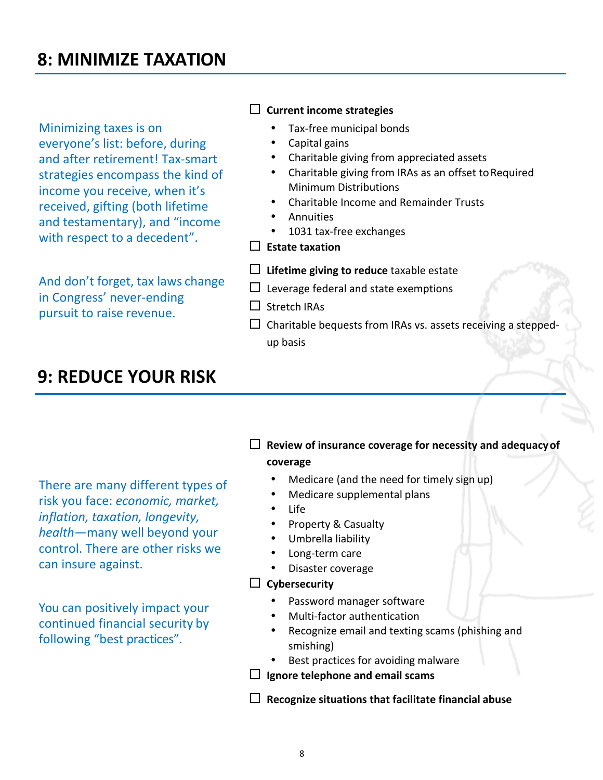# **8: MINIMIZE TAXATION**

Minimizing taxes is on everyone's list: before, during and after retirement! Tax-smart strategies encompass the kind of income you receive, when it's received, gifting (both lifetime and testamentary), and "income with respect to a decedent".

And don't forget, tax laws change in Congress' never-ending pursuit to raise revenue.

#### $\Box$  Current income strategies

- Tax-free municipal bonds
- Capital gains
	- Charitable giving from appreciated assets
- Charitable giving from IRAs as an offset to Required Minimum Distributions
- Charitable Income and Remainder Trusts
- **Annuities**
- 1031 tax-free exchanges
- ¨ **Estate taxation**
- $\Box$  Lifetime giving to reduce taxable estate
- $\Box$  Leverage federal and state exemptions
- $\square$  Stretch IRAs
- $\Box$  Charitable bequests from IRAs vs. assets receiving a steppedup basis

### **9: REDUCE YOUR RISK**

There are many different types of risk you face: *economic, market, inflation, taxation, longevity, health*—many well beyond your control. There are other risks we can insure against.

You can positively impact your continued financial security by following "best practices".

 $\Box$  Review of insurance coverage for necessity and adequacy of

#### **coverage**

- Medicare (and the need for timely sign up)
- Medicare supplemental plans
- Life
- Property & Casualty
- Umbrella liability
- Long-term care
- Disaster coverage

#### $\Box$  Cybersecurity

- Password manager software
- Multi-factor authentication
- Recognize email and texting scams (phishing and smishing)
- Best practices for avoiding malware
- $\Box$  Ignore telephone and email scams
- $\Box$  **Recognize situations that facilitate financial abuse**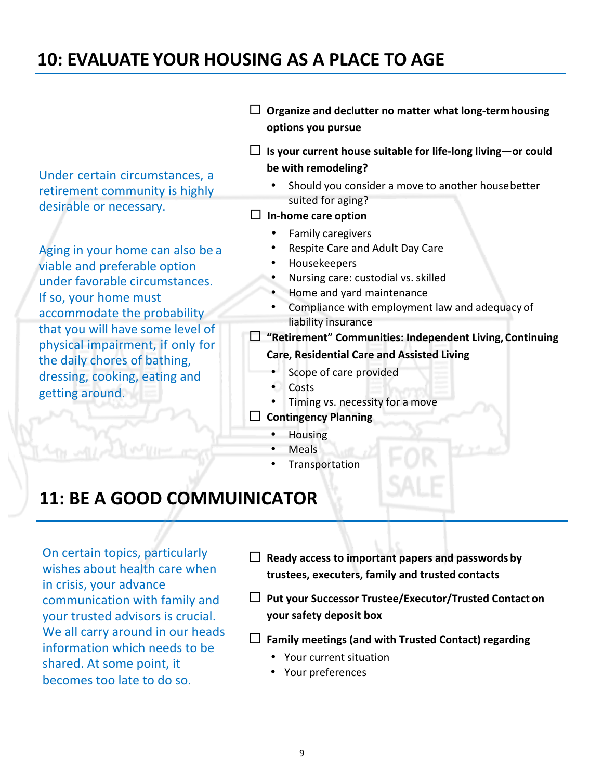### **10: EVALUATE YOUR HOUSING AS A PLACE TO AGE**

Under certain circumstances, a retirement community is highly desirable or necessary.

Aging in your home can also be a viable and preferable option under favorable circumstances. If so, your home must accommodate the probability that you will have some level of physical impairment, if only for the daily chores of bathing, dressing, cooking, eating and getting around.

- $\Box$  Organize and declutter no matter what long-term housing **options you pursue**
- $\Box$  Is your current house suitable for life-long living—or could **be with remodeling?**
	- Should you consider a move to another house better suited for aging?
- $\square$  In-home care option
	- Family caregivers
	- Respite Care and Adult Day Care
	- Housekeepers
	- Nursing care: custodial vs. skilled
	- Home and yard maintenance
	- Compliance with employment law and adequacy of liability insurance
- □ "Retirement" Communities: Independent Living, Continuing **Care, Residential Care and Assisted Living**
	- Scope of care provided
	- Costs
	- Timing vs. necessity for a move
- ¨ **Contingency Planning**
	- Housing
	- Meals
	- **Transportation**

### **11: BE A GOOD COMMUINICATOR**

On certain topics, particularly wishes about health care when in crisis, your advance communication with family and your trusted advisors is crucial. We all carry around in our heads information which needs to be shared. At some point, it becomes too late to do so.

- $\Box$  Ready access to important papers and passwords by **trustees, executers, family and trusted contacts**
- □ Put your Successor Trustee/Executor/Trusted Contact on **your safety deposit box**
- ¨ **Family meetings (and with Trusted Contact) regarding**
	- Your current situation
	- Your preferences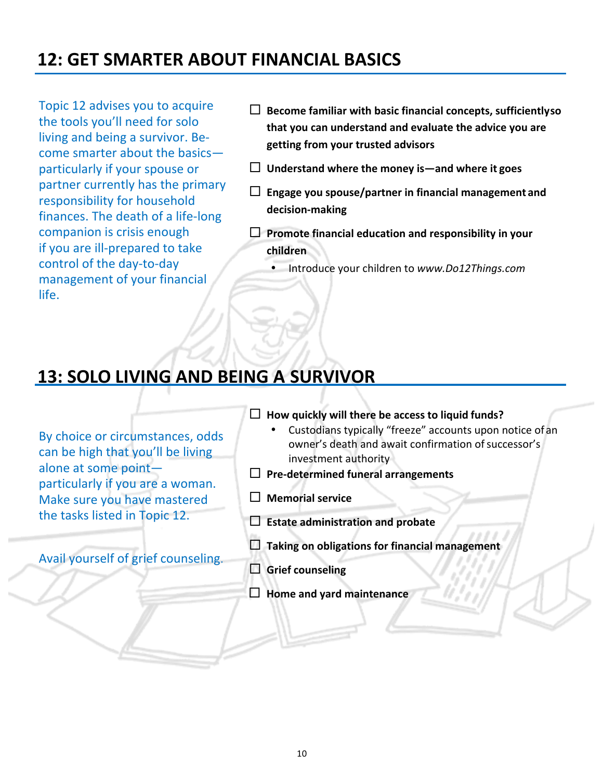# **12: GET SMARTER ABOUT FINANCIAL BASICS**

Topic 12 advises you to acquire the tools you'll need for solo living and being a survivor. Be $come$  smarter about the basicsparticularly if your spouse or partner currently has the primary responsibility for household finances. The death of a life-long companion is crisis enough if you are ill-prepared to take control of the day-to-day management of your financial life.

- $\Box$  Become familiar with basic financial concepts, sufficientlyso that you can understand and evaluate the advice you are **getting from your trusted advisors**
- $\Box$  Understand where the money is—and where it goes
- $\square$  Engage you spouse/partner in financial management and **decision-making**
- $\Box$  Promote financial education and responsibility in your **children**
	- Introduce your children to *www.Do12Things.com*

### **13: SOLO LIVING AND BEING A SURVIVOR**

By choice or circumstances, odds can be high that you'll be living alone at some pointparticularly if you are a woman. Make sure you have mastered the tasks listed in Topic 12.

Avail yourself of grief counseling.

- $\Box$  How quickly will there be access to liquid funds?
	- Custodians typically "freeze" accounts upon notice of an owner's death and await confirmation of successor's investment authority
- $\Box$  Pre-determined funeral arrangements
- □ Memorial service
- □ **Estate administration and probate**
- $\Box$  Taking on obligations for financial management
- □ Grief counseling
- $\Box$  Home and yard maintenance